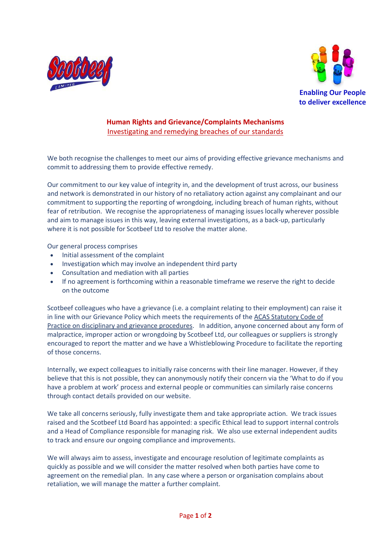



## **Human Rights and Grievance/Complaints Mechanisms** Investigating and remedying breaches of our standards

We both recognise the challenges to meet our aims of providing effective grievance mechanisms and commit to addressing them to provide effective remedy.

Our commitment to our key value of integrity in, and the development of trust across, our business and network is demonstrated in our history of no retaliatory action against any complainant and our commitment to supporting the reporting of wrongdoing, including breach of human rights, without fear of retribution. We recognise the appropriateness of managing issues locally wherever possible and aim to manage issues in this way, leaving external investigations, as a back-up, particularly where it is not possible for Scotbeef Ltd to resolve the matter alone.

Our general process comprises

- Initial assessment of the complaint
- Investigation which may involve an independent third party
- Consultation and mediation with all parties
- If no agreement is forthcoming within a reasonable timeframe we reserve the right to decide on the outcome

Scotbeef colleagues who have a grievance (i.e. a complaint relating to their employment) can raise it in line with our Grievance Policy which meets the requirements of the ACAS [Statutory](http://www.acas.org.uk/index.aspx?articleid=2174) Code of Practice on disciplinary and grievance [procedures.](http://www.acas.org.uk/index.aspx?articleid=2174) In addition, anyone concerned about any form of malpractice, improper action or wrongdoing by Scotbeef Ltd, our colleagues or suppliers is strongly encouraged to report the matter and we have a Whistleblowing Procedure to facilitate the reporting of those concerns.

Internally, we expect colleagues to initially raise concerns with their line manager. However, if they believe that this is not possible, they can anonymously notify their concern via the 'What to do if you have a problem at work' process and external people or communities can similarly raise concerns through contact details provided on our website.

We take all concerns seriously, fully investigate them and take appropriate action. We track issues raised and the Scotbeef Ltd Board has appointed: a specific Ethical lead to support internal controls and a Head of Compliance responsible for managing risk. We also use external independent audits to track and ensure our ongoing compliance and improvements.

We will always aim to assess, investigate and encourage resolution of legitimate complaints as quickly as possible and we will consider the matter resolved when both parties have come to agreement on the remedial plan. In any case where a person or organisation complains about retaliation, we will manage the matter a further complaint.